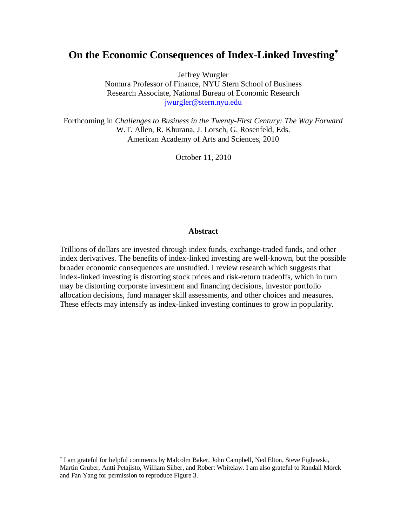# **On the Economic Consequences of Index-Linked Investing**

Jeffrey Wurgler

Nomura Professor of Finance, NYU Stern School of Business Research Associate, National Bureau of Economic Research [jwurgler@stern.nyu.edu](mailto:jwurgler@stern.nyu.edu)

Forthcoming in *Challenges to Business in the Twenty-First Century: The Way Forward* W.T. Allen, R. Khurana, J. Lorsch, G. Rosenfeld, Eds. American Academy of Arts and Sciences, 2010

October 11, 2010

#### **Abstract**

Trillions of dollars are invested through index funds, exchange-traded funds, and other index derivatives. The benefits of index-linked investing are well-known, but the possible broader economic consequences are unstudied. I review research which suggests that index-linked investing is distorting stock prices and risk-return tradeoffs, which in turn may be distorting corporate investment and financing decisions, investor portfolio allocation decisions, fund manager skill assessments, and other choices and measures. These effects may intensify as index-linked investing continues to grow in popularity.

<sup>&</sup>lt;sup>\*</sup> I am grateful for helpful comments by Malcolm Baker, John Campbell, Ned Elton, Steve Figlewski, Martin Gruber, Antti Petajisto, William Silber, and Robert Whitelaw. I am also grateful to Randall Morck and Fan Yang for permission to reproduce Figure 3.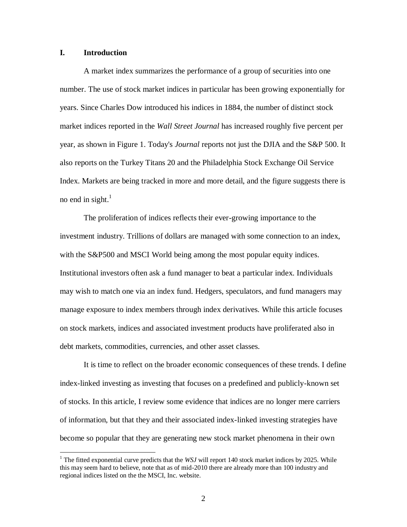## **I. Introduction**

 $\overline{a}$ 

A market index summarizes the performance of a group of securities into one number. The use of stock market indices in particular has been growing exponentially for years. Since Charles Dow introduced his indices in 1884, the number of distinct stock market indices reported in the *Wall Street Journal* has increased roughly five percent per year, as shown in Figure 1. Today's *Journal* reports not just the DJIA and the S&P 500. It also reports on the Turkey Titans 20 and the Philadelphia Stock Exchange Oil Service Index. Markets are being tracked in more and more detail, and the figure suggests there is no end in sight. $<sup>1</sup>$ </sup>

The proliferation of indices reflects their ever-growing importance to the investment industry. Trillions of dollars are managed with some connection to an index, with the S&P500 and MSCI World being among the most popular equity indices. Institutional investors often ask a fund manager to beat a particular index. Individuals may wish to match one via an index fund. Hedgers, speculators, and fund managers may manage exposure to index members through index derivatives. While this article focuses on stock markets, indices and associated investment products have proliferated also in debt markets, commodities, currencies, and other asset classes.

It is time to reflect on the broader economic consequences of these trends. I define index-linked investing as investing that focuses on a predefined and publicly-known set of stocks. In this article, I review some evidence that indices are no longer mere carriers of information, but that they and their associated index-linked investing strategies have become so popular that they are generating new stock market phenomena in their own

<sup>&</sup>lt;sup>1</sup> The fitted exponential curve predicts that the *WSJ* will report 140 stock market indices by 2025. While this may seem hard to believe, note that as of mid-2010 there are already more than 100 industry and regional indices listed on the the MSCI, Inc. website.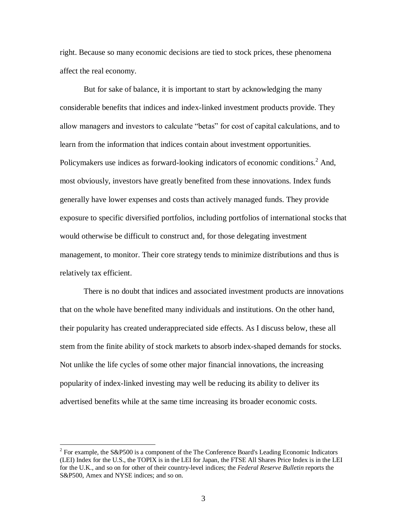right. Because so many economic decisions are tied to stock prices, these phenomena affect the real economy.

But for sake of balance, it is important to start by acknowledging the many considerable benefits that indices and index-linked investment products provide. They allow managers and investors to calculate "betas" for cost of capital calculations, and to learn from the information that indices contain about investment opportunities. Policymakers use indices as forward-looking indicators of economic conditions.<sup>2</sup> And, most obviously, investors have greatly benefited from these innovations. Index funds generally have lower expenses and costs than actively managed funds. They provide exposure to specific diversified portfolios, including portfolios of international stocks that would otherwise be difficult to construct and, for those delegating investment management, to monitor. Their core strategy tends to minimize distributions and thus is relatively tax efficient.

There is no doubt that indices and associated investment products are innovations that on the whole have benefited many individuals and institutions. On the other hand, their popularity has created underappreciated side effects. As I discuss below, these all stem from the finite ability of stock markets to absorb index-shaped demands for stocks. Not unlike the life cycles of some other major financial innovations, the increasing popularity of index-linked investing may well be reducing its ability to deliver its advertised benefits while at the same time increasing its broader economic costs.

<sup>&</sup>lt;sup>2</sup> For example, the S&P500 is a component of the The Conference Board's Leading Economic Indicators (LEI) Index for the U.S., the TOPIX is in the LEI for Japan, the FTSE All Shares Price Index is in the LEI for the U.K., and so on for other of their country-level indices; the *Federal Reserve Bulletin* reports the S&P500, Amex and NYSE indices; and so on.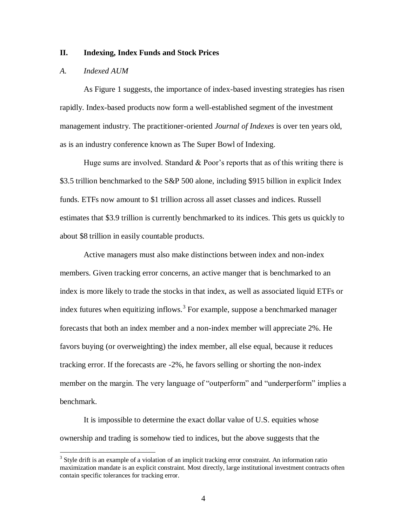## **II. Indexing, Index Funds and Stock Prices**

#### *A. Indexed AUM*

 $\overline{a}$ 

As Figure 1 suggests, the importance of index-based investing strategies has risen rapidly. Index-based products now form a well-established segment of the investment management industry. The practitioner-oriented *Journal of Indexes* is over ten years old, as is an industry conference known as The Super Bowl of Indexing.

Huge sums are involved. Standard  $&$  Poor's reports that as of this writing there is \$3.5 trillion benchmarked to the S&P 500 alone, including \$915 billion in explicit Index funds. ETFs now amount to \$1 trillion across all asset classes and indices. Russell estimates that \$3.9 trillion is currently benchmarked to its indices. This gets us quickly to about \$8 trillion in easily countable products.

Active managers must also make distinctions between index and non-index members. Given tracking error concerns, an active manger that is benchmarked to an index is more likely to trade the stocks in that index, as well as associated liquid ETFs or index futures when equitizing inflows.<sup>3</sup> For example, suppose a benchmarked manager forecasts that both an index member and a non-index member will appreciate 2%. He favors buying (or overweighting) the index member, all else equal, because it reduces tracking error. If the forecasts are -2%, he favors selling or shorting the non-index member on the margin. The very language of "outperform" and "underperform" implies a benchmark.

It is impossible to determine the exact dollar value of U.S. equities whose ownership and trading is somehow tied to indices, but the above suggests that the

 $3$  Style drift is an example of a violation of an implicit tracking error constraint. An information ratio maximization mandate is an explicit constraint. Most directly, large institutional investment contracts often contain specific tolerances for tracking error.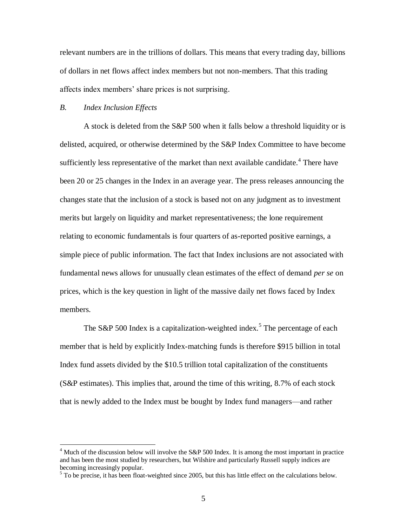relevant numbers are in the trillions of dollars. This means that every trading day, billions of dollars in net flows affect index members but not non-members. That this trading affects index members' share prices is not surprising.

#### *B. Index Inclusion Effects*

 $\overline{a}$ 

A stock is deleted from the S&P 500 when it falls below a threshold liquidity or is delisted, acquired, or otherwise determined by the S&P Index Committee to have become sufficiently less representative of the market than next available candidate.<sup>4</sup> There have been 20 or 25 changes in the Index in an average year. The press releases announcing the changes state that the inclusion of a stock is based not on any judgment as to investment merits but largely on liquidity and market representativeness; the lone requirement relating to economic fundamentals is four quarters of as-reported positive earnings, a simple piece of public information. The fact that Index inclusions are not associated with fundamental news allows for unusually clean estimates of the effect of demand *per se* on prices, which is the key question in light of the massive daily net flows faced by Index members.

The S&P 500 Index is a capitalization-weighted index.<sup>5</sup> The percentage of each member that is held by explicitly Index-matching funds is therefore \$915 billion in total Index fund assets divided by the \$10.5 trillion total capitalization of the constituents (S&P estimates). This implies that, around the time of this writing, 8.7% of each stock that is newly added to the Index must be bought by Index fund managers—and rather

 $4$  Much of the discussion below will involve the S&P 500 Index. It is among the most important in practice and has been the most studied by researchers, but Wilshire and particularly Russell supply indices are becoming increasingly popular.

 $<sup>5</sup>$  To be precise, it has been float-weighted since 2005, but this has little effect on the calculations below.</sup>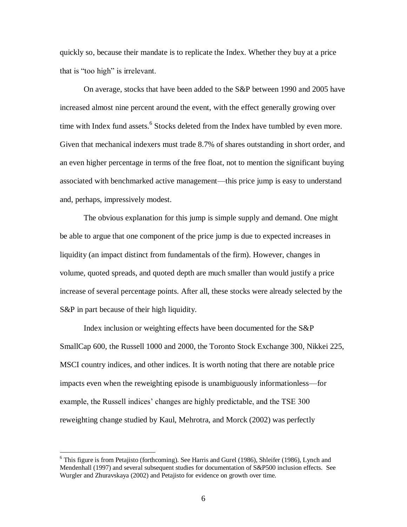quickly so, because their mandate is to replicate the Index. Whether they buy at a price that is "too high" is irrelevant.

On average, stocks that have been added to the S&P between 1990 and 2005 have increased almost nine percent around the event, with the effect generally growing over time with Index fund assets.<sup>6</sup> Stocks deleted from the Index have tumbled by even more. Given that mechanical indexers must trade 8.7% of shares outstanding in short order, and an even higher percentage in terms of the free float, not to mention the significant buying associated with benchmarked active management—this price jump is easy to understand and, perhaps, impressively modest.

The obvious explanation for this jump is simple supply and demand. One might be able to argue that one component of the price jump is due to expected increases in liquidity (an impact distinct from fundamentals of the firm). However, changes in volume, quoted spreads, and quoted depth are much smaller than would justify a price increase of several percentage points. After all, these stocks were already selected by the S&P in part because of their high liquidity.

Index inclusion or weighting effects have been documented for the S&P SmallCap 600, the Russell 1000 and 2000, the Toronto Stock Exchange 300, Nikkei 225, MSCI country indices, and other indices. It is worth noting that there are notable price impacts even when the reweighting episode is unambiguously informationless—for example, the Russell indices' changes are highly predictable, and the TSE 300 reweighting change studied by Kaul, Mehrotra, and Morck (2002) was perfectly

<sup>&</sup>lt;sup>6</sup> This figure is from Petajisto (forthcoming). See Harris and Gurel (1986), Shleifer (1986), Lynch and Mendenhall (1997) and several subsequent studies for documentation of S&P500 inclusion effects. See Wurgler and Zhuravskaya (2002) and Petajisto for evidence on growth over time.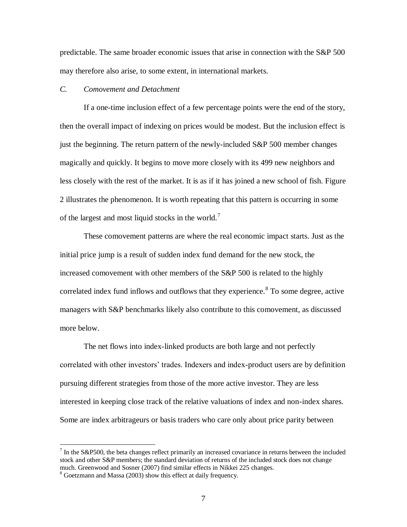predictable. The same broader economic issues that arise in connection with the S&P 500 may therefore also arise, to some extent, in international markets.

## *C. Comovement and Detachment*

If a one-time inclusion effect of a few percentage points were the end of the story, then the overall impact of indexing on prices would be modest. But the inclusion effect is just the beginning. The return pattern of the newly-included S&P 500 member changes magically and quickly. It begins to move more closely with its 499 new neighbors and less closely with the rest of the market. It is as if it has joined a new school of fish. Figure 2 illustrates the phenomenon. It is worth repeating that this pattern is occurring in some of the largest and most liquid stocks in the world.<sup>7</sup>

These comovement patterns are where the real economic impact starts. Just as the initial price jump is a result of sudden index fund demand for the new stock, the increased comovement with other members of the S&P 500 is related to the highly correlated index fund inflows and outflows that they experience.<sup>8</sup> To some degree, active managers with S&P benchmarks likely also contribute to this comovement, as discussed more below.

The net flows into index-linked products are both large and not perfectly correlated with other investors' trades. Indexers and index-product users are by definition pursuing different strategies from those of the more active investor. They are less interested in keeping close track of the relative valuations of index and non-index shares. Some are index arbitrageurs or basis traders who care only about price parity between

 $<sup>7</sup>$  In the S&P500, the beta changes reflect primarily an increased covariance in returns between the included</sup> stock and other S&P members; the standard deviation of returns of the included stock does not change much. Greenwood and Sosner (2007) find similar effects in Nikkei 225 changes.

<sup>&</sup>lt;sup>8</sup> Goetzmann and Massa (2003) show this effect at daily frequency.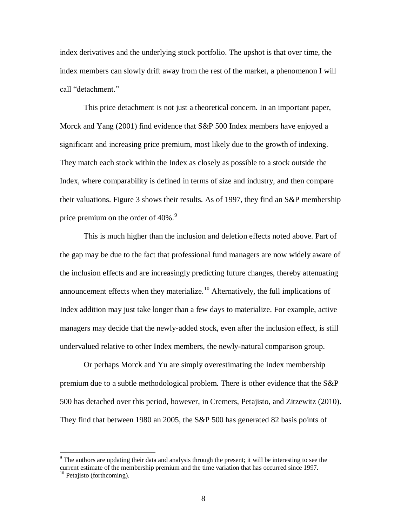index derivatives and the underlying stock portfolio. The upshot is that over time, the index members can slowly drift away from the rest of the market, a phenomenon I will call "detachment."

This price detachment is not just a theoretical concern. In an important paper, Morck and Yang (2001) find evidence that S&P 500 Index members have enjoyed a significant and increasing price premium, most likely due to the growth of indexing. They match each stock within the Index as closely as possible to a stock outside the Index, where comparability is defined in terms of size and industry, and then compare their valuations. Figure 3 shows their results. As of 1997, they find an S&P membership price premium on the order of  $40\%$ .<sup>9</sup>

This is much higher than the inclusion and deletion effects noted above. Part of the gap may be due to the fact that professional fund managers are now widely aware of the inclusion effects and are increasingly predicting future changes, thereby attenuating announcement effects when they materialize.<sup>10</sup> Alternatively, the full implications of Index addition may just take longer than a few days to materialize. For example, active managers may decide that the newly-added stock, even after the inclusion effect, is still undervalued relative to other Index members, the newly-natural comparison group.

Or perhaps Morck and Yu are simply overestimating the Index membership premium due to a subtle methodological problem. There is other evidence that the S&P 500 has detached over this period, however, in Cremers, Petajisto, and Zitzewitz (2010). They find that between 1980 an 2005, the S&P 500 has generated 82 basis points of

 $9$  The authors are updating their data and analysis through the present; it will be interesting to see the current estimate of the membership premium and the time variation that has occurred since 1997.

 $10$  Petajisto (forthcoming).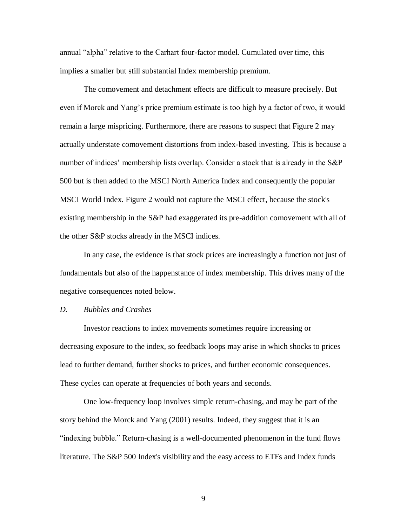annual "alpha" relative to the Carhart four-factor model. Cumulated over time, this implies a smaller but still substantial Index membership premium.

The comovement and detachment effects are difficult to measure precisely. But even if Morck and Yang's price premium estimate is too high by a factor of two, it would remain a large mispricing. Furthermore, there are reasons to suspect that Figure 2 may actually understate comovement distortions from index-based investing. This is because a number of indices' membership lists overlap. Consider a stock that is already in the S&P 500 but is then added to the MSCI North America Index and consequently the popular MSCI World Index. Figure 2 would not capture the MSCI effect, because the stock's existing membership in the S&P had exaggerated its pre-addition comovement with all of the other S&P stocks already in the MSCI indices.

In any case, the evidence is that stock prices are increasingly a function not just of fundamentals but also of the happenstance of index membership. This drives many of the negative consequences noted below.

#### *D. Bubbles and Crashes*

Investor reactions to index movements sometimes require increasing or decreasing exposure to the index, so feedback loops may arise in which shocks to prices lead to further demand, further shocks to prices, and further economic consequences. These cycles can operate at frequencies of both years and seconds.

One low-frequency loop involves simple return-chasing, and may be part of the story behind the Morck and Yang (2001) results. Indeed, they suggest that it is an "indexing bubble." Return-chasing is a well-documented phenomenon in the fund flows literature. The S&P 500 Index's visibility and the easy access to ETFs and Index funds

9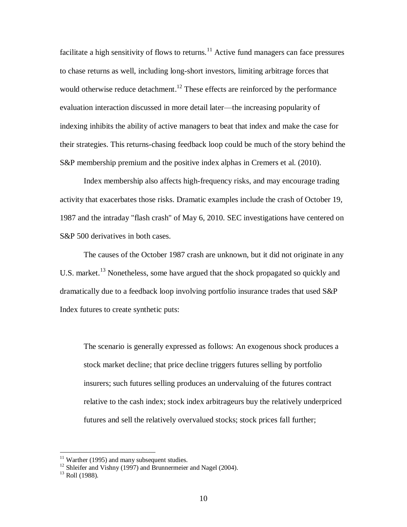facilitate a high sensitivity of flows to returns.<sup>11</sup> Active fund managers can face pressures to chase returns as well, including long-short investors, limiting arbitrage forces that would otherwise reduce detachment.<sup>12</sup> These effects are reinforced by the performance evaluation interaction discussed in more detail later—the increasing popularity of indexing inhibits the ability of active managers to beat that index and make the case for their strategies. This returns-chasing feedback loop could be much of the story behind the S&P membership premium and the positive index alphas in Cremers et al. (2010).

Index membership also affects high-frequency risks, and may encourage trading activity that exacerbates those risks. Dramatic examples include the crash of October 19, 1987 and the intraday "flash crash" of May 6, 2010. SEC investigations have centered on S&P 500 derivatives in both cases.

The causes of the October 1987 crash are unknown, but it did not originate in any U.S. market.<sup>13</sup> Nonetheless, some have argued that the shock propagated so quickly and dramatically due to a feedback loop involving portfolio insurance trades that used S&P Index futures to create synthetic puts:

The scenario is generally expressed as follows: An exogenous shock produces a stock market decline; that price decline triggers futures selling by portfolio insurers; such futures selling produces an undervaluing of the futures contract relative to the cash index; stock index arbitrageurs buy the relatively underpriced futures and sell the relatively overvalued stocks; stock prices fall further;

 $11$  Warther (1995) and many subsequent studies.

 $12$  Shleifer and Vishny (1997) and Brunnermeier and Nagel (2004).

 $13$  Roll (1988).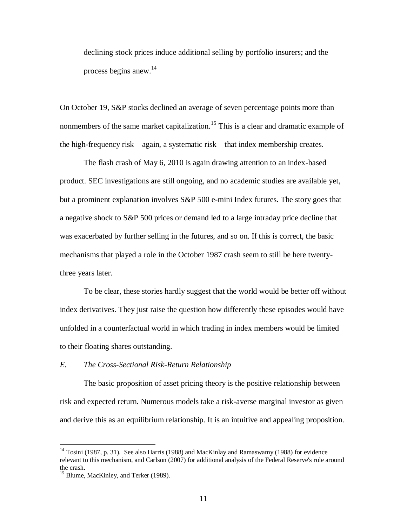declining stock prices induce additional selling by portfolio insurers; and the process begins anew.<sup>14</sup>

On October 19, S&P stocks declined an average of seven percentage points more than nonmembers of the same market capitalization.<sup>15</sup> This is a clear and dramatic example of the high-frequency risk—again, a systematic risk—that index membership creates.

The flash crash of May 6, 2010 is again drawing attention to an index-based product. SEC investigations are still ongoing, and no academic studies are available yet, but a prominent explanation involves S&P 500 e-mini Index futures. The story goes that a negative shock to S&P 500 prices or demand led to a large intraday price decline that was exacerbated by further selling in the futures, and so on. If this is correct, the basic mechanisms that played a role in the October 1987 crash seem to still be here twentythree years later.

To be clear, these stories hardly suggest that the world would be better off without index derivatives. They just raise the question how differently these episodes would have unfolded in a counterfactual world in which trading in index members would be limited to their floating shares outstanding.

## *E. The Cross-Sectional Risk-Return Relationship*

The basic proposition of asset pricing theory is the positive relationship between risk and expected return. Numerous models take a risk-averse marginal investor as given and derive this as an equilibrium relationship. It is an intuitive and appealing proposition.

<sup>&</sup>lt;sup>14</sup> Tosini (1987, p. 31). See also Harris (1988) and MacKinlay and Ramaswamy (1988) for evidence relevant to this mechanism, and Carlson (2007) for additional analysis of the Federal Reserve's role around the crash.

<sup>&</sup>lt;sup>15</sup> Blume, MacKinley, and Terker (1989).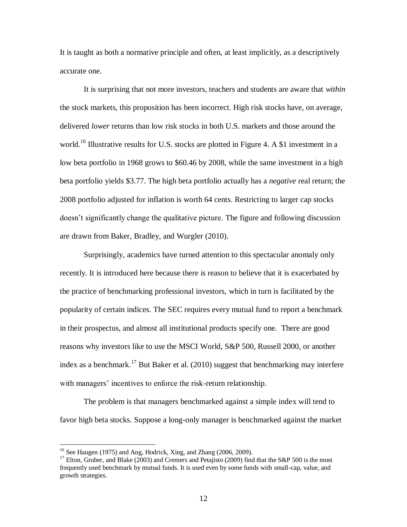It is taught as both a normative principle and often, at least implicitly, as a descriptively accurate one.

It is surprising that not more investors, teachers and students are aware that *within* the stock markets, this proposition has been incorrect. High risk stocks have, on average, delivered *lower* returns than low risk stocks in both U.S. markets and those around the world.<sup>16</sup> Illustrative results for U.S. stocks are plotted in Figure 4. A \$1 investment in a low beta portfolio in 1968 grows to \$60.46 by 2008, while the same investment in a high beta portfolio yields \$3.77. The high beta portfolio actually has a *negative* real return; the 2008 portfolio adjusted for inflation is worth 64 cents. Restricting to larger cap stocks doesn't significantly change the qualitative picture. The figure and following discussion are drawn from Baker, Bradley, and Wurgler (2010).

Surprisingly, academics have turned attention to this spectacular anomaly only recently. It is introduced here because there is reason to believe that it is exacerbated by the practice of benchmarking professional investors, which in turn is facilitated by the popularity of certain indices. The SEC requires every mutual fund to report a benchmark in their prospectus, and almost all institutional products specify one. There are good reasons why investors like to use the MSCI World, S&P 500, Russell 2000, or another index as a benchmark.<sup>17</sup> But Baker et al. (2010) suggest that benchmarking may interfere with managers' incentives to enforce the risk-return relationship.

The problem is that managers benchmarked against a simple index will tend to favor high beta stocks. Suppose a long-only manager is benchmarked against the market

 $16$  See Haugen (1975) and Ang, Hodrick, Xing, and Zhang (2006, 2009).

<sup>&</sup>lt;sup>17</sup> Elton, Gruber, and Blake (2003) and Cremers and Petajisto (2009) find that the S&P 500 is the most frequently used benchmark by mutual funds. It is used even by some funds with small-cap, value, and growth strategies.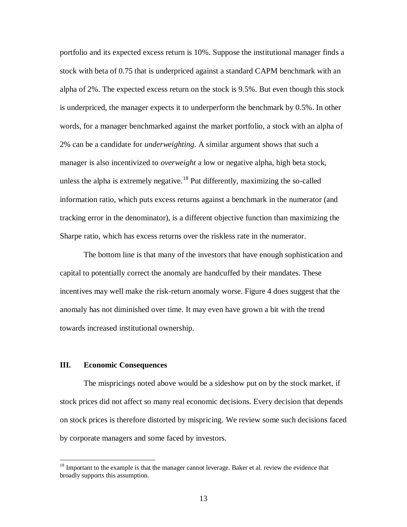portfolio and its expected excess return is 10%. Suppose the institutional manager finds a stock with beta of 0.75 that is underpriced against a standard CAPM benchmark with an alpha of 2%. The expected excess return on the stock is 9.5%. But even though this stock is underpriced, the manager expects it to underperform the benchmark by 0.5%. In other words, for a manager benchmarked against the market portfolio, a stock with an alpha of 2% can be a candidate for *underweighting*. A similar argument shows that such a manager is also incentivized to *overweight* a low or negative alpha, high beta stock, unless the alpha is extremely negative.<sup>18</sup> Put differently, maximizing the so-called information ratio, which puts excess returns against a benchmark in the numerator (and tracking error in the denominator), is a different objective function than maximizing the Sharpe ratio, which has excess returns over the riskless rate in the numerator.

The bottom line is that many of the investors that have enough sophistication and capital to potentially correct the anomaly are handcuffed by their mandates. These incentives may well make the risk-return anomaly worse. Figure 4 does suggest that the anomaly has not diminished over time. It may even have grown a bit with the trend towards increased institutional ownership.

## **III. Economic Consequences**

 $\overline{a}$ 

The mispricings noted above would be a sideshow put on by the stock market, if stock prices did not affect so many real economic decisions. Every decision that depends on stock prices is therefore distorted by mispricing. We review some such decisions faced by corporate managers and some faced by investors.

 $18$  Important to the example is that the manager cannot leverage. Baker et al. review the evidence that broadly supports this assumption.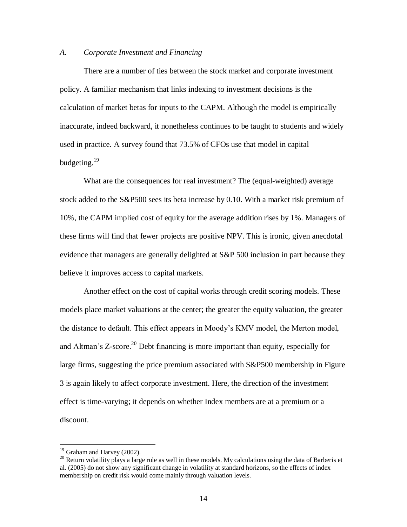#### *A. Corporate Investment and Financing*

There are a number of ties between the stock market and corporate investment policy. A familiar mechanism that links indexing to investment decisions is the calculation of market betas for inputs to the CAPM. Although the model is empirically inaccurate, indeed backward, it nonetheless continues to be taught to students and widely used in practice. A survey found that 73.5% of CFOs use that model in capital budgeting.<sup>19</sup>

What are the consequences for real investment? The (equal-weighted) average stock added to the S&P500 sees its beta increase by 0.10. With a market risk premium of 10%, the CAPM implied cost of equity for the average addition rises by 1%. Managers of these firms will find that fewer projects are positive NPV. This is ironic, given anecdotal evidence that managers are generally delighted at S&P 500 inclusion in part because they believe it improves access to capital markets.

Another effect on the cost of capital works through credit scoring models. These models place market valuations at the center; the greater the equity valuation, the greater the distance to default. This effect appears in Moody's KMV model, the Merton model, and Altman's  $Z$ -score.<sup>20</sup> Debt financing is more important than equity, especially for large firms, suggesting the price premium associated with S&P500 membership in Figure 3 is again likely to affect corporate investment. Here, the direction of the investment effect is time-varying; it depends on whether Index members are at a premium or a discount.

 $19$  Graham and Harvey (2002).

<sup>&</sup>lt;sup>20</sup> Return volatility plays a large role as well in these models. My calculations using the data of Barberis et al. (2005) do not show any significant change in volatility at standard horizons, so the effects of index membership on credit risk would come mainly through valuation levels.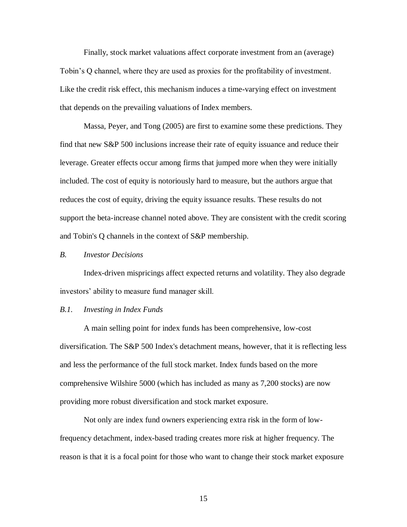Finally, stock market valuations affect corporate investment from an (average) Tobin's Q channel, where they are used as proxies for the profitability of investment. Like the credit risk effect, this mechanism induces a time-varying effect on investment that depends on the prevailing valuations of Index members.

Massa, Peyer, and Tong (2005) are first to examine some these predictions. They find that new S&P 500 inclusions increase their rate of equity issuance and reduce their leverage. Greater effects occur among firms that jumped more when they were initially included. The cost of equity is notoriously hard to measure, but the authors argue that reduces the cost of equity, driving the equity issuance results. These results do not support the beta-increase channel noted above. They are consistent with the credit scoring and Tobin's Q channels in the context of S&P membership.

#### *B. Investor Decisions*

Index-driven mispricings affect expected returns and volatility. They also degrade investors' ability to measure fund manager skill.

#### *B.1. Investing in Index Funds*

A main selling point for index funds has been comprehensive, low-cost diversification. The S&P 500 Index's detachment means, however, that it is reflecting less and less the performance of the full stock market. Index funds based on the more comprehensive Wilshire 5000 (which has included as many as 7,200 stocks) are now providing more robust diversification and stock market exposure.

Not only are index fund owners experiencing extra risk in the form of lowfrequency detachment, index-based trading creates more risk at higher frequency. The reason is that it is a focal point for those who want to change their stock market exposure

15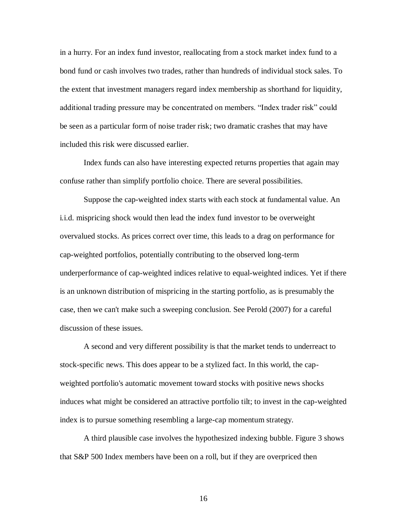in a hurry. For an index fund investor, reallocating from a stock market index fund to a bond fund or cash involves two trades, rather than hundreds of individual stock sales. To the extent that investment managers regard index membership as shorthand for liquidity, additional trading pressure may be concentrated on members. "Index trader risk" could be seen as a particular form of noise trader risk; two dramatic crashes that may have included this risk were discussed earlier.

Index funds can also have interesting expected returns properties that again may confuse rather than simplify portfolio choice. There are several possibilities.

Suppose the cap-weighted index starts with each stock at fundamental value. An i.i.d. mispricing shock would then lead the index fund investor to be overweight overvalued stocks. As prices correct over time, this leads to a drag on performance for cap-weighted portfolios, potentially contributing to the observed long-term underperformance of cap-weighted indices relative to equal-weighted indices. Yet if there is an unknown distribution of mispricing in the starting portfolio, as is presumably the case, then we can't make such a sweeping conclusion. See Perold (2007) for a careful discussion of these issues.

A second and very different possibility is that the market tends to underreact to stock-specific news. This does appear to be a stylized fact. In this world, the capweighted portfolio's automatic movement toward stocks with positive news shocks induces what might be considered an attractive portfolio tilt; to invest in the cap-weighted index is to pursue something resembling a large-cap momentum strategy.

A third plausible case involves the hypothesized indexing bubble. Figure 3 shows that S&P 500 Index members have been on a roll, but if they are overpriced then

16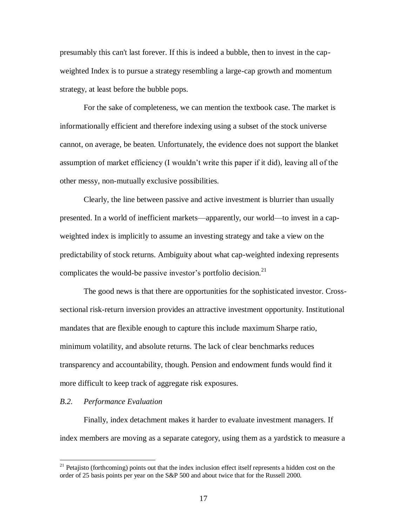presumably this can't last forever. If this is indeed a bubble, then to invest in the capweighted Index is to pursue a strategy resembling a large-cap growth and momentum strategy, at least before the bubble pops.

For the sake of completeness, we can mention the textbook case. The market is informationally efficient and therefore indexing using a subset of the stock universe cannot, on average, be beaten. Unfortunately, the evidence does not support the blanket assumption of market efficiency (I wouldn't write this paper if it did), leaving all of the other messy, non-mutually exclusive possibilities.

Clearly, the line between passive and active investment is blurrier than usually presented. In a world of inefficient markets—apparently, our world—to invest in a capweighted index is implicitly to assume an investing strategy and take a view on the predictability of stock returns. Ambiguity about what cap-weighted indexing represents complicates the would-be passive investor's portfolio decision.<sup>21</sup>

The good news is that there are opportunities for the sophisticated investor. Crosssectional risk-return inversion provides an attractive investment opportunity. Institutional mandates that are flexible enough to capture this include maximum Sharpe ratio, minimum volatility, and absolute returns. The lack of clear benchmarks reduces transparency and accountability, though. Pension and endowment funds would find it more difficult to keep track of aggregate risk exposures.

## *B.2. Performance Evaluation*

 $\overline{a}$ 

Finally, index detachment makes it harder to evaluate investment managers. If index members are moving as a separate category, using them as a yardstick to measure a

 $21$  Petajisto (forthcoming) points out that the index inclusion effect itself represents a hidden cost on the order of 25 basis points per year on the S&P 500 and about twice that for the Russell 2000.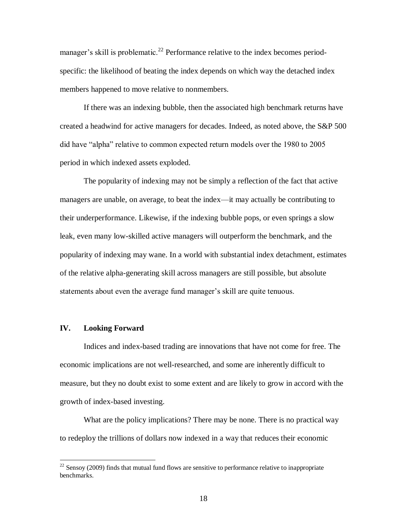manager's skill is problematic.<sup>22</sup> Performance relative to the index becomes periodspecific: the likelihood of beating the index depends on which way the detached index members happened to move relative to nonmembers.

If there was an indexing bubble, then the associated high benchmark returns have created a headwind for active managers for decades. Indeed, as noted above, the S&P 500 did have "alpha" relative to common expected return models over the 1980 to 2005 period in which indexed assets exploded.

The popularity of indexing may not be simply a reflection of the fact that active managers are unable, on average, to beat the index—it may actually be contributing to their underperformance. Likewise, if the indexing bubble pops, or even springs a slow leak, even many low-skilled active managers will outperform the benchmark, and the popularity of indexing may wane. In a world with substantial index detachment, estimates of the relative alpha-generating skill across managers are still possible, but absolute statements about even the average fund manager's skill are quite tenuous.

#### **IV. Looking Forward**

 $\overline{a}$ 

Indices and index-based trading are innovations that have not come for free. The economic implications are not well-researched, and some are inherently difficult to measure, but they no doubt exist to some extent and are likely to grow in accord with the growth of index-based investing.

What are the policy implications? There may be none. There is no practical way to redeploy the trillions of dollars now indexed in a way that reduces their economic

 $22$  Sensoy (2009) finds that mutual fund flows are sensitive to performance relative to inappropriate benchmarks.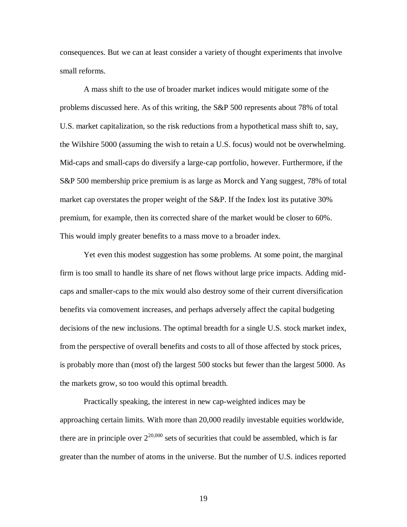consequences. But we can at least consider a variety of thought experiments that involve small reforms.

A mass shift to the use of broader market indices would mitigate some of the problems discussed here. As of this writing, the S&P 500 represents about 78% of total U.S. market capitalization, so the risk reductions from a hypothetical mass shift to, say, the Wilshire 5000 (assuming the wish to retain a U.S. focus) would not be overwhelming. Mid-caps and small-caps do diversify a large-cap portfolio, however. Furthermore, if the S&P 500 membership price premium is as large as Morck and Yang suggest, 78% of total market cap overstates the proper weight of the S&P. If the Index lost its putative 30% premium, for example, then its corrected share of the market would be closer to 60%. This would imply greater benefits to a mass move to a broader index.

Yet even this modest suggestion has some problems. At some point, the marginal firm is too small to handle its share of net flows without large price impacts. Adding midcaps and smaller-caps to the mix would also destroy some of their current diversification benefits via comovement increases, and perhaps adversely affect the capital budgeting decisions of the new inclusions. The optimal breadth for a single U.S. stock market index, from the perspective of overall benefits and costs to all of those affected by stock prices, is probably more than (most of) the largest 500 stocks but fewer than the largest 5000. As the markets grow, so too would this optimal breadth.

Practically speaking, the interest in new cap-weighted indices may be approaching certain limits. With more than 20,000 readily investable equities worldwide, there are in principle over  $2^{20,000}$  sets of securities that could be assembled, which is far greater than the number of atoms in the universe. But the number of U.S. indices reported

19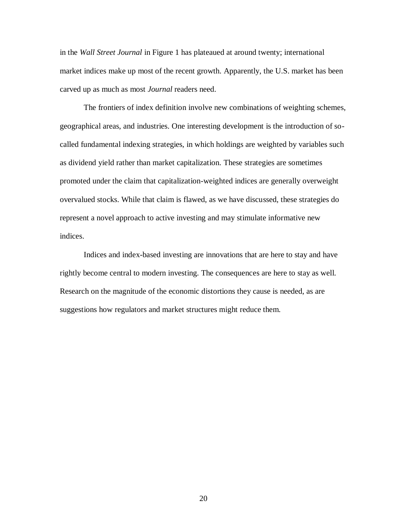in the *Wall Street Journal* in Figure 1 has plateaued at around twenty; international market indices make up most of the recent growth. Apparently, the U.S. market has been carved up as much as most *Journal* readers need.

The frontiers of index definition involve new combinations of weighting schemes, geographical areas, and industries. One interesting development is the introduction of socalled fundamental indexing strategies, in which holdings are weighted by variables such as dividend yield rather than market capitalization. These strategies are sometimes promoted under the claim that capitalization-weighted indices are generally overweight overvalued stocks. While that claim is flawed, as we have discussed, these strategies do represent a novel approach to active investing and may stimulate informative new indices.

Indices and index-based investing are innovations that are here to stay and have rightly become central to modern investing. The consequences are here to stay as well. Research on the magnitude of the economic distortions they cause is needed, as are suggestions how regulators and market structures might reduce them.

20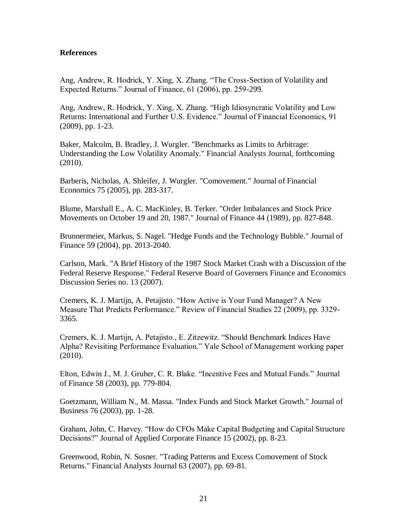## **References**

Ang, Andrew, R. Hodrick, Y. Xing, X. Zhang. "The Cross-Section of Volatility and Expected Returns." Journal of Finance, 61 (2006), pp. 259-299.

Ang, Andrew, R. Hodrick, Y. Xing, X. Zhang. "High Idiosyncratic Volatility and Low Returns: International and Further U.S. Evidence." Journal of Financial Economics, 91 (2009), pp. 1-23.

Baker, Malcolm, B. Bradley, J. Wurgler. "Benchmarks as Limits to Arbitrage: Understanding the Low Volatility Anomaly." Financial Analysts Journal, forthcoming (2010).

Barberis, Nicholas, A. Shleifer, J. Wurgler. "Comovement." Journal of Financial Economics 75 (2005), pp. 283-317.

Blume, Marshall E., A. C. MacKinley, B. Terker. "Order Imbalances and Stock Price Movements on October 19 and 20, 1987." Journal of Finance 44 (1989), pp. 827-848.

Brunnermeier, Markus, S. Nagel. "Hedge Funds and the Technology Bubble." Journal of Finance 59 (2004), pp. 2013-2040.

Carlson, Mark. "A Brief History of the 1987 Stock Market Crash with a Discussion of the Federal Reserve Response." Federal Reserve Board of Governers Finance and Economics Discussion Series no. 13 (2007).

Cremers, K. J. Martijn, A. Petajisto. "How Active is Your Fund Manager? A New Measure That Predicts Performance." Review of Financial Studies 22 (2009), pp. 3329- 3365.

Cremers, K. J. Martijn, A. Petajisto., E. Zitzewitz. "Should Benchmark Indices Have Alpha? Revisiting Performance Evaluation." Yale School of Management working paper (2010).

Elton, Edwin J., M. J. Gruber, C. R. Blake. "Incentive Fees and Mutual Funds." Journal of Finance 58 (2003), pp. 779-804.

Goetzmann, William N., M. Massa. "Index Funds and Stock Market Growth." Journal of Business 76 (2003), pp. 1-28.

Graham, John, C. Harvey. "How do CFOs Make Capital Budgeting and Capital Structure Decisions?" Journal of Applied Corporate Finance 15 (2002), pp. 8-23.

Greenwood, Robin, N. Sosner. "Trading Patterns and Excess Comovement of Stock Returns." Financial Analysts Journal 63 (2007), pp. 69-81.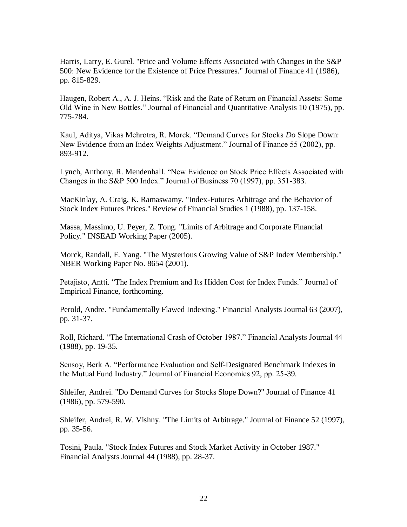Harris, Larry, E. Gurel. "Price and Volume Effects Associated with Changes in the S&P 500: New Evidence for the Existence of Price Pressures." Journal of Finance 41 (1986), pp. 815-829.

Haugen, Robert A., A. J. Heins. "Risk and the Rate of Return on Financial Assets: Some Old Wine in New Bottles." Journal of Financial and Quantitative Analysis 10 (1975), pp. 775-784.

Kaul, Aditya, Vikas Mehrotra, R. Morck. "Demand Curves for Stocks *Do* Slope Down: New Evidence from an Index Weights Adjustment." Journal of Finance 55 (2002), pp. 893-912.

Lynch, Anthony, R. Mendenhall. "New Evidence on Stock Price Effects Associated with Changes in the S&P 500 Index." Journal of Business 70 (1997), pp. 351-383.

MacKinlay, A. Craig, K. Ramaswamy. "Index-Futures Arbitrage and the Behavior of Stock Index Futures Prices." Review of Financial Studies 1 (1988), pp. 137-158.

Massa, Massimo, U. Peyer, Z. Tong. "Limits of Arbitrage and Corporate Financial Policy." INSEAD Working Paper (2005).

Morck, Randall, F. Yang. "The Mysterious Growing Value of S&P Index Membership." NBER Working Paper No. 8654 (2001).

Petajisto, Antti. "The Index Premium and Its Hidden Cost for Index Funds." Journal of Empirical Finance, forthcoming.

Perold, Andre. "Fundamentally Flawed Indexing." Financial Analysts Journal 63 (2007), pp. 31-37.

Roll, Richard. "The International Crash of October 1987." Financial Analysts Journal 44 (1988), pp. 19-35.

Sensoy, Berk A. "Performance Evaluation and Self-Designated Benchmark Indexes in the Mutual Fund Industry." Journal of Financial Economics 92, pp. 25-39.

Shleifer, Andrei. "Do Demand Curves for Stocks Slope Down?" Journal of Finance 41 (1986), pp. 579-590.

Shleifer, Andrei, R. W. Vishny. "The Limits of Arbitrage." Journal of Finance 52 (1997), pp. 35-56.

Tosini, Paula. "Stock Index Futures and Stock Market Activity in October 1987." Financial Analysts Journal 44 (1988), pp. 28-37.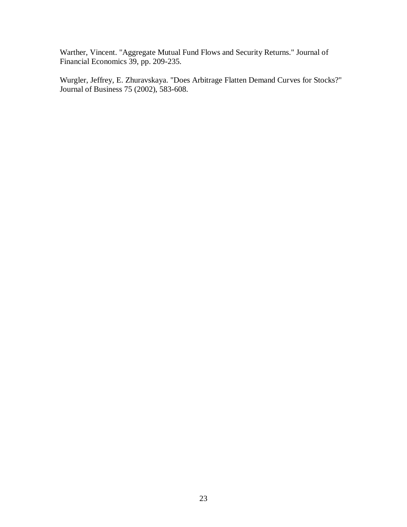Warther, Vincent. "Aggregate Mutual Fund Flows and Security Returns." Journal of Financial Economics 39, pp. 209-235.

Wurgler, Jeffrey, E. Zhuravskaya. "Does Arbitrage Flatten Demand Curves for Stocks?" Journal of Business 75 (2002), 583-608.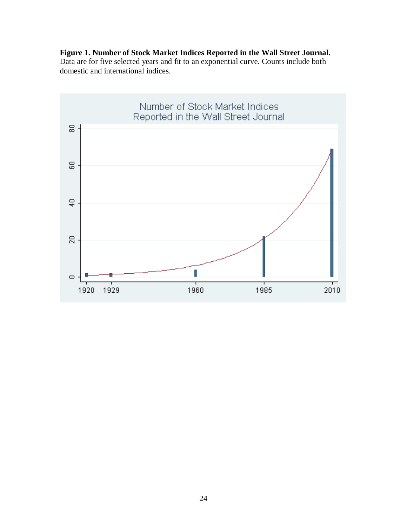## **Figure 1. Number of Stock Market Indices Reported in the Wall Street Journal.**  Data are for five selected years and fit to an exponential curve. Counts include both domestic and international indices.

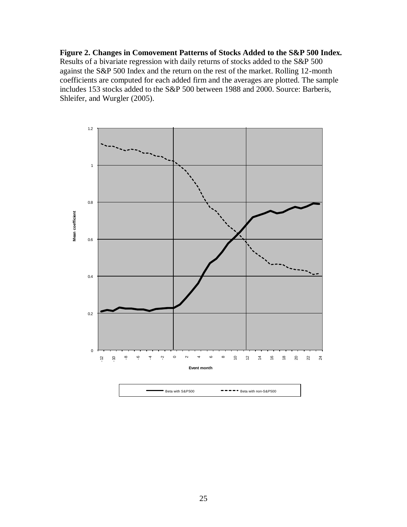**Figure 2. Changes in Comovement Patterns of Stocks Added to the S&P 500 Index.**  Results of a bivariate regression with daily returns of stocks added to the S&P 500 against the S&P 500 Index and the return on the rest of the market. Rolling 12-month coefficients are computed for each added firm and the averages are plotted. The sample includes 153 stocks added to the S&P 500 between 1988 and 2000. Source: Barberis, Shleifer, and Wurgler (2005).

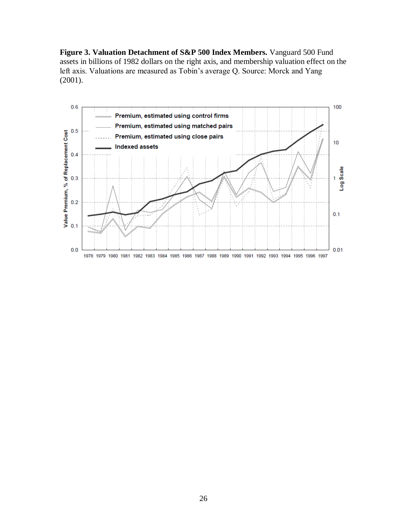**Figure 3. Valuation Detachment of S&P 500 Index Members.** Vanguard 500 Fund assets in billions of 1982 dollars on the right axis, and membership valuation effect on the left axis. Valuations are measured as Tobin's average Q. Source: Morck and Yang (2001).